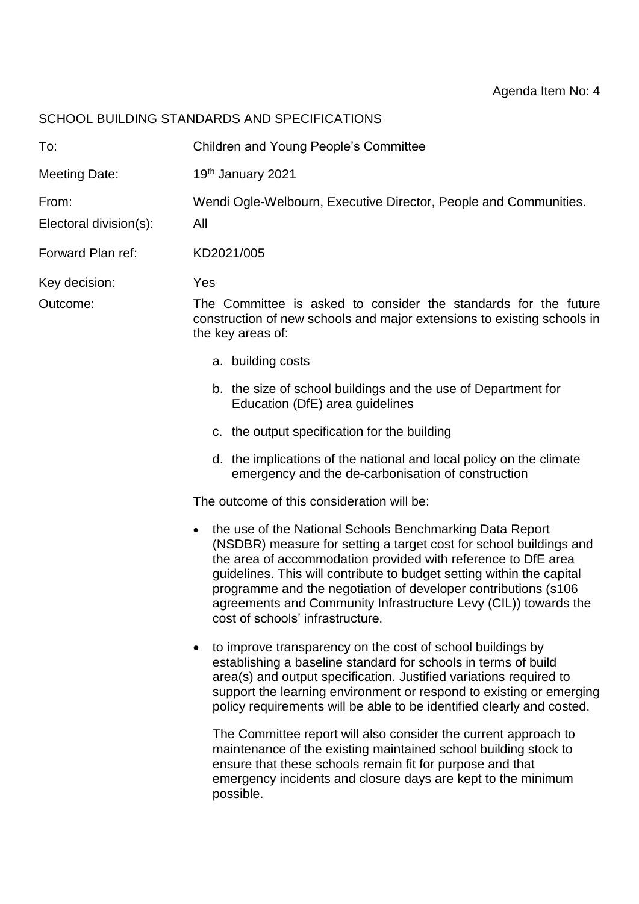## SCHOOL BUILDING STANDARDS AND SPECIFICATIONS

| To:                             | <b>Children and Young People's Committee</b>                                                                                                                                                                                                                                                                                                                                                                                                                   |
|---------------------------------|----------------------------------------------------------------------------------------------------------------------------------------------------------------------------------------------------------------------------------------------------------------------------------------------------------------------------------------------------------------------------------------------------------------------------------------------------------------|
| <b>Meeting Date:</b>            | 19th January 2021                                                                                                                                                                                                                                                                                                                                                                                                                                              |
| From:<br>Electoral division(s): | Wendi Ogle-Welbourn, Executive Director, People and Communities.<br>All                                                                                                                                                                                                                                                                                                                                                                                        |
| Forward Plan ref:               | KD2021/005                                                                                                                                                                                                                                                                                                                                                                                                                                                     |
| Key decision:<br>Outcome:       | Yes<br>The Committee is asked to consider the standards for the future<br>construction of new schools and major extensions to existing schools in<br>the key areas of:<br>a. building costs                                                                                                                                                                                                                                                                    |
|                                 | b. the size of school buildings and the use of Department for<br>Education (DfE) area guidelines                                                                                                                                                                                                                                                                                                                                                               |
|                                 | c. the output specification for the building                                                                                                                                                                                                                                                                                                                                                                                                                   |
|                                 | d. the implications of the national and local policy on the climate<br>emergency and the de-carbonisation of construction                                                                                                                                                                                                                                                                                                                                      |
|                                 | The outcome of this consideration will be:                                                                                                                                                                                                                                                                                                                                                                                                                     |
|                                 | the use of the National Schools Benchmarking Data Report<br>$\bullet$<br>(NSDBR) measure for setting a target cost for school buildings and<br>the area of accommodation provided with reference to DfE area<br>guidelines. This will contribute to budget setting within the capital<br>programme and the negotiation of developer contributions (s106<br>agreements and Community Infrastructure Levy (CIL)) towards the<br>cost of schools' infrastructure. |
|                                 | to improve transparency on the cost of school buildings by<br>establishing a baseline standard for schools in terms of build<br>area(s) and output specification. Justified variations required to<br>support the learning environment or respond to existing or emerging<br>policy requirements will be able to be identified clearly and costed.                                                                                                             |
|                                 | The Committee report will also consider the current approach to<br>maintenance of the existing maintained school building stock to<br>ensure that these schools remain fit for purpose and that<br>emergency incidents and closure days are kept to the minimum<br>possible.                                                                                                                                                                                   |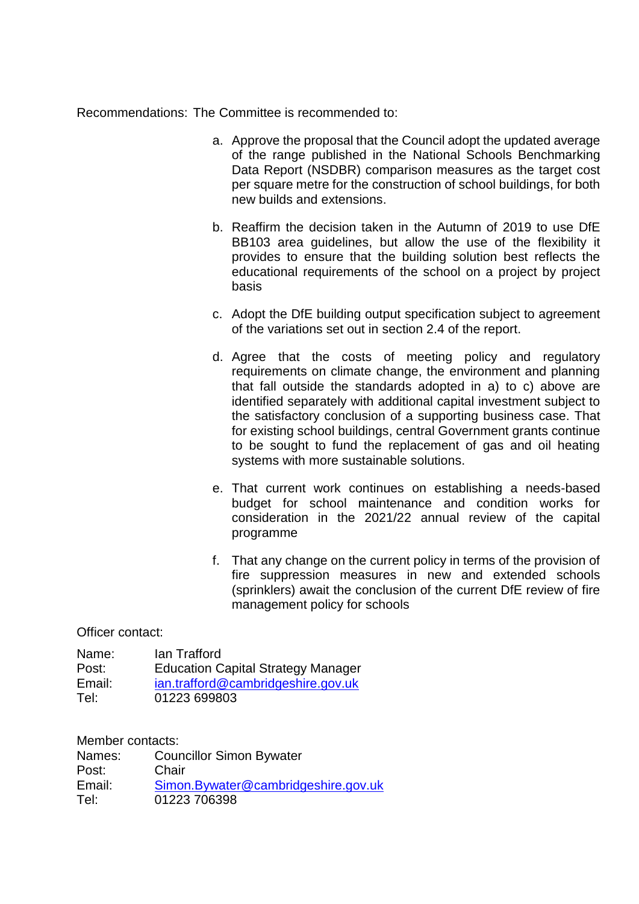Recommendations: The Committee is recommended to:

- a. Approve the proposal that the Council adopt the updated average of the range published in the National Schools Benchmarking Data Report (NSDBR) comparison measures as the target cost per square metre for the construction of school buildings, for both new builds and extensions.
- b. Reaffirm the decision taken in the Autumn of 2019 to use DfE BB103 area guidelines, but allow the use of the flexibility it provides to ensure that the building solution best reflects the educational requirements of the school on a project by project basis
- c. Adopt the DfE building output specification subject to agreement of the variations set out in section 2.4 of the report.
- d. Agree that the costs of meeting policy and regulatory requirements on climate change, the environment and planning that fall outside the standards adopted in a) to c) above are identified separately with additional capital investment subject to the satisfactory conclusion of a supporting business case. That for existing school buildings, central Government grants continue to be sought to fund the replacement of gas and oil heating systems with more sustainable solutions.
- e. That current work continues on establishing a needs-based budget for school maintenance and condition works for consideration in the 2021/22 annual review of the capital programme
- f. That any change on the current policy in terms of the provision of fire suppression measures in new and extended schools (sprinklers) await the conclusion of the current DfE review of fire management policy for schools

Officer contact:

| Name:  | lan Trafford                              |
|--------|-------------------------------------------|
| Post:  | <b>Education Capital Strategy Manager</b> |
| Email: | ian.trafford@cambridgeshire.gov.uk        |
| Tel:   | 01223 699803                              |

Member contacts:

| Names: | <b>Councillor Simon Bywater</b>     |
|--------|-------------------------------------|
| Post:  | Chair                               |
| Email: | Simon.Bywater@cambridgeshire.gov.uk |
| Tel:   | 01223 706398                        |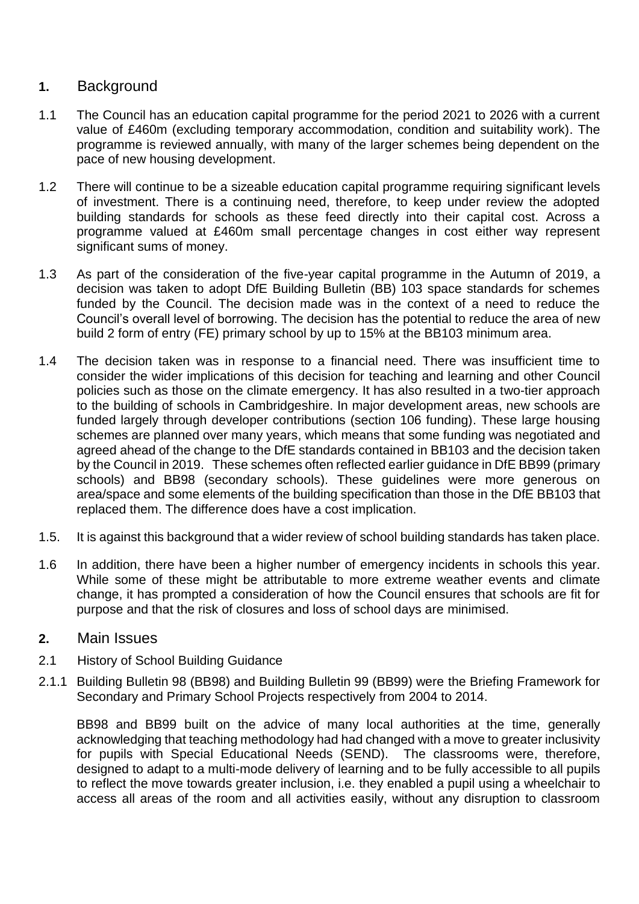## **1.** Background

- 1.1 The Council has an education capital programme for the period 2021 to 2026 with a current value of £460m (excluding temporary accommodation, condition and suitability work). The programme is reviewed annually, with many of the larger schemes being dependent on the pace of new housing development.
- 1.2 There will continue to be a sizeable education capital programme requiring significant levels of investment. There is a continuing need, therefore, to keep under review the adopted building standards for schools as these feed directly into their capital cost. Across a programme valued at £460m small percentage changes in cost either way represent significant sums of money.
- 1.3 As part of the consideration of the five-year capital programme in the Autumn of 2019, a decision was taken to adopt DfE Building Bulletin (BB) 103 space standards for schemes funded by the Council. The decision made was in the context of a need to reduce the Council's overall level of borrowing. The decision has the potential to reduce the area of new build 2 form of entry (FE) primary school by up to 15% at the BB103 minimum area.
- 1.4 The decision taken was in response to a financial need. There was insufficient time to consider the wider implications of this decision for teaching and learning and other Council policies such as those on the climate emergency. It has also resulted in a two-tier approach to the building of schools in Cambridgeshire. In major development areas, new schools are funded largely through developer contributions (section 106 funding). These large housing schemes are planned over many years, which means that some funding was negotiated and agreed ahead of the change to the DfE standards contained in BB103 and the decision taken by the Council in 2019. These schemes often reflected earlier guidance in DfE BB99 (primary schools) and BB98 (secondary schools). These guidelines were more generous on area/space and some elements of the building specification than those in the DfE BB103 that replaced them. The difference does have a cost implication.
- 1.5. It is against this background that a wider review of school building standards has taken place.
- 1.6 In addition, there have been a higher number of emergency incidents in schools this year. While some of these might be attributable to more extreme weather events and climate change, it has prompted a consideration of how the Council ensures that schools are fit for purpose and that the risk of closures and loss of school days are minimised.

#### **2.** Main Issues

#### 2.1 History of School Building Guidance

2.1.1 Building Bulletin 98 (BB98) and Building Bulletin 99 (BB99) were the Briefing Framework for Secondary and Primary School Projects respectively from 2004 to 2014.

BB98 and BB99 built on the advice of many local authorities at the time, generally acknowledging that teaching methodology had had changed with a move to greater inclusivity for pupils with Special Educational Needs (SEND). The classrooms were, therefore, designed to adapt to a multi-mode delivery of learning and to be fully accessible to all pupils to reflect the move towards greater inclusion, i.e. they enabled a pupil using a wheelchair to access all areas of the room and all activities easily, without any disruption to classroom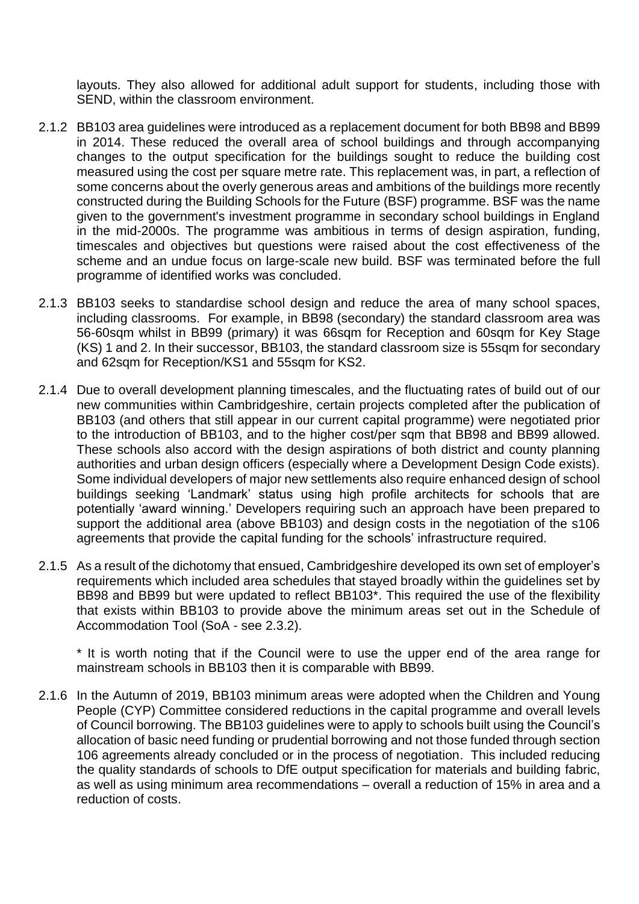layouts. They also allowed for additional adult support for students, including those with SEND, within the classroom environment.

- 2.1.2 BB103 area guidelines were introduced as a replacement document for both BB98 and BB99 in 2014. These reduced the overall area of school buildings and through accompanying changes to the output specification for the buildings sought to reduce the building cost measured using the cost per square metre rate. This replacement was, in part, a reflection of some concerns about the overly generous areas and ambitions of the buildings more recently constructed during the Building Schools for the Future (BSF) programme. BSF was the name given to the government's investment programme in secondary school buildings in England in the mid-2000s. The programme was ambitious in terms of design aspiration, funding, timescales and objectives but questions were raised about the cost effectiveness of the scheme and an undue focus on large-scale new build. BSF was terminated before the full programme of identified works was concluded.
- 2.1.3 BB103 seeks to standardise school design and reduce the area of many school spaces, including classrooms. For example, in BB98 (secondary) the standard classroom area was 56-60sqm whilst in BB99 (primary) it was 66sqm for Reception and 60sqm for Key Stage (KS) 1 and 2. In their successor, BB103, the standard classroom size is 55sqm for secondary and 62sqm for Reception/KS1 and 55sqm for KS2.
- 2.1.4 Due to overall development planning timescales, and the fluctuating rates of build out of our new communities within Cambridgeshire, certain projects completed after the publication of BB103 (and others that still appear in our current capital programme) were negotiated prior to the introduction of BB103, and to the higher cost/per sqm that BB98 and BB99 allowed. These schools also accord with the design aspirations of both district and county planning authorities and urban design officers (especially where a Development Design Code exists). Some individual developers of major new settlements also require enhanced design of school buildings seeking 'Landmark' status using high profile architects for schools that are potentially 'award winning.' Developers requiring such an approach have been prepared to support the additional area (above BB103) and design costs in the negotiation of the s106 agreements that provide the capital funding for the schools' infrastructure required.
- 2.1.5 As a result of the dichotomy that ensued, Cambridgeshire developed its own set of employer's requirements which included area schedules that stayed broadly within the guidelines set by BB98 and BB99 but were updated to reflect BB103\*. This required the use of the flexibility that exists within BB103 to provide above the minimum areas set out in the Schedule of Accommodation Tool (SoA - see 2.3.2).

\* It is worth noting that if the Council were to use the upper end of the area range for mainstream schools in BB103 then it is comparable with BB99.

2.1.6 In the Autumn of 2019, BB103 minimum areas were adopted when the Children and Young People (CYP) Committee considered reductions in the capital programme and overall levels of Council borrowing. The BB103 guidelines were to apply to schools built using the Council's allocation of basic need funding or prudential borrowing and not those funded through section 106 agreements already concluded or in the process of negotiation. This included reducing the quality standards of schools to DfE output specification for materials and building fabric, as well as using minimum area recommendations – overall a reduction of 15% in area and a reduction of costs.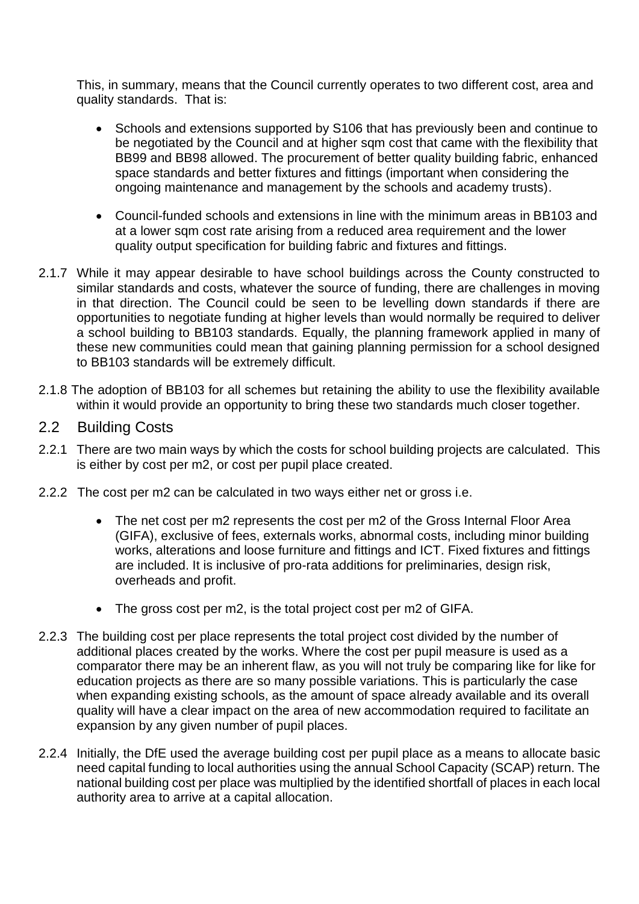This, in summary, means that the Council currently operates to two different cost, area and quality standards. That is:

- Schools and extensions supported by S106 that has previously been and continue to be negotiated by the Council and at higher sqm cost that came with the flexibility that BB99 and BB98 allowed. The procurement of better quality building fabric, enhanced space standards and better fixtures and fittings (important when considering the ongoing maintenance and management by the schools and academy trusts).
- Council-funded schools and extensions in line with the minimum areas in BB103 and at a lower sqm cost rate arising from a reduced area requirement and the lower quality output specification for building fabric and fixtures and fittings.
- 2.1.7 While it may appear desirable to have school buildings across the County constructed to similar standards and costs, whatever the source of funding, there are challenges in moving in that direction. The Council could be seen to be levelling down standards if there are opportunities to negotiate funding at higher levels than would normally be required to deliver a school building to BB103 standards. Equally, the planning framework applied in many of these new communities could mean that gaining planning permission for a school designed to BB103 standards will be extremely difficult.
- 2.1.8 The adoption of BB103 for all schemes but retaining the ability to use the flexibility available within it would provide an opportunity to bring these two standards much closer together.
- 2.2 Building Costs
- 2.2.1 There are two main ways by which the costs for school building projects are calculated. This is either by cost per m2, or cost per pupil place created.
- 2.2.2 The cost per m2 can be calculated in two ways either net or gross i.e.
	- The net cost per m2 represents the cost per m2 of the Gross Internal Floor Area (GIFA), exclusive of fees, externals works, abnormal costs, including minor building works, alterations and loose furniture and fittings and ICT. Fixed fixtures and fittings are included. It is inclusive of pro-rata additions for preliminaries, design risk, overheads and profit.
	- The gross cost per m2, is the total project cost per m2 of GIFA.
- 2.2.3 The building cost per place represents the total project cost divided by the number of additional places created by the works. Where the cost per pupil measure is used as a comparator there may be an inherent flaw, as you will not truly be comparing like for like for education projects as there are so many possible variations. This is particularly the case when expanding existing schools, as the amount of space already available and its overall quality will have a clear impact on the area of new accommodation required to facilitate an expansion by any given number of pupil places.
- 2.2.4 Initially, the DfE used the average building cost per pupil place as a means to allocate basic need capital funding to local authorities using the annual School Capacity (SCAP) return. The national building cost per place was multiplied by the identified shortfall of places in each local authority area to arrive at a capital allocation.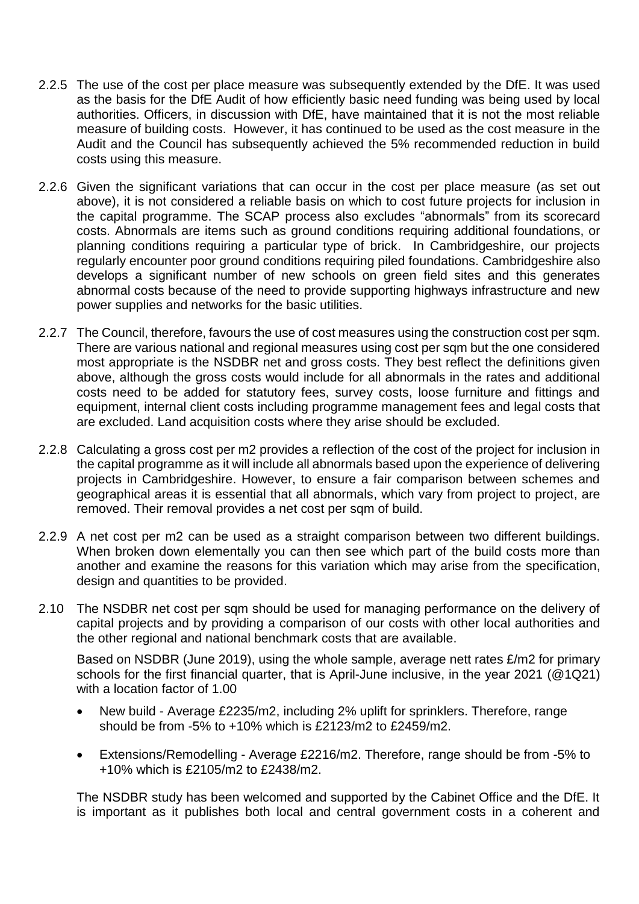- 2.2.5 The use of the cost per place measure was subsequently extended by the DfE. It was used as the basis for the DfE Audit of how efficiently basic need funding was being used by local authorities. Officers, in discussion with DfE, have maintained that it is not the most reliable measure of building costs. However, it has continued to be used as the cost measure in the Audit and the Council has subsequently achieved the 5% recommended reduction in build costs using this measure.
- 2.2.6 Given the significant variations that can occur in the cost per place measure (as set out above), it is not considered a reliable basis on which to cost future projects for inclusion in the capital programme. The SCAP process also excludes "abnormals" from its scorecard costs. Abnormals are items such as ground conditions requiring additional foundations, or planning conditions requiring a particular type of brick. In Cambridgeshire, our projects regularly encounter poor ground conditions requiring piled foundations. Cambridgeshire also develops a significant number of new schools on green field sites and this generates abnormal costs because of the need to provide supporting highways infrastructure and new power supplies and networks for the basic utilities.
- 2.2.7 The Council, therefore, favours the use of cost measures using the construction cost per sqm. There are various national and regional measures using cost per sqm but the one considered most appropriate is the NSDBR net and gross costs. They best reflect the definitions given above, although the gross costs would include for all abnormals in the rates and additional costs need to be added for statutory fees, survey costs, loose furniture and fittings and equipment, internal client costs including programme management fees and legal costs that are excluded. Land acquisition costs where they arise should be excluded.
- 2.2.8 Calculating a gross cost per m2 provides a reflection of the cost of the project for inclusion in the capital programme as it will include all abnormals based upon the experience of delivering projects in Cambridgeshire. However, to ensure a fair comparison between schemes and geographical areas it is essential that all abnormals, which vary from project to project, are removed. Their removal provides a net cost per sqm of build.
- 2.2.9 A net cost per m2 can be used as a straight comparison between two different buildings. When broken down elementally you can then see which part of the build costs more than another and examine the reasons for this variation which may arise from the specification, design and quantities to be provided.
- 2.10 The NSDBR net cost per sqm should be used for managing performance on the delivery of capital projects and by providing a comparison of our costs with other local authorities and the other regional and national benchmark costs that are available.

Based on NSDBR (June 2019), using the whole sample, average nett rates £/m2 for primary schools for the first financial quarter, that is April-June inclusive, in the year 2021 (@1Q21) with a location factor of 1.00

- New build Average £2235/m2, including 2% uplift for sprinklers. Therefore, range should be from -5% to +10% which is £2123/m2 to £2459/m2.
- Extensions/Remodelling Average £2216/m2. Therefore, range should be from -5% to +10% which is £2105/m2 to £2438/m2.

The NSDBR study has been welcomed and supported by the Cabinet Office and the DfE. It is important as it publishes both local and central government costs in a coherent and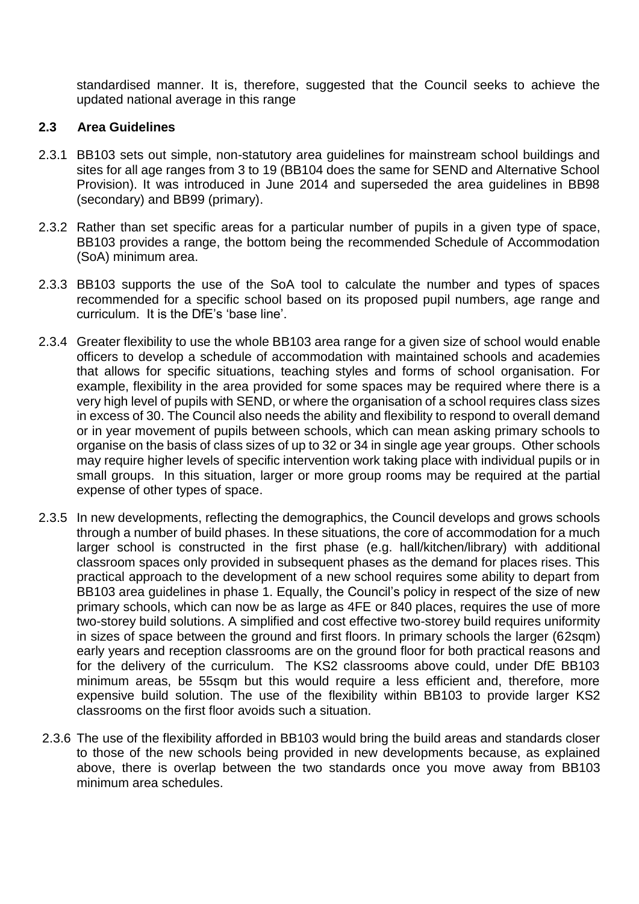standardised manner. It is, therefore, suggested that the Council seeks to achieve the updated national average in this range

#### **2.3 Area Guidelines**

- 2.3.1 BB103 sets out simple, non-statutory area guidelines for mainstream school buildings and sites for all age ranges from 3 to 19 (BB104 does the same for SEND and Alternative School Provision). It was introduced in June 2014 and superseded the area guidelines in BB98 (secondary) and BB99 (primary).
- 2.3.2 Rather than set specific areas for a particular number of pupils in a given type of space, BB103 provides a range, the bottom being the recommended Schedule of Accommodation (SoA) minimum area.
- 2.3.3 BB103 supports the use of the SoA tool to calculate the number and types of spaces recommended for a specific school based on its proposed pupil numbers, age range and curriculum. It is the DfE's 'base line'.
- 2.3.4 Greater flexibility to use the whole BB103 area range for a given size of school would enable officers to develop a schedule of accommodation with maintained schools and academies that allows for specific situations, teaching styles and forms of school organisation. For example, flexibility in the area provided for some spaces may be required where there is a very high level of pupils with SEND, or where the organisation of a school requires class sizes in excess of 30. The Council also needs the ability and flexibility to respond to overall demand or in year movement of pupils between schools, which can mean asking primary schools to organise on the basis of class sizes of up to 32 or 34 in single age year groups. Other schools may require higher levels of specific intervention work taking place with individual pupils or in small groups. In this situation, larger or more group rooms may be required at the partial expense of other types of space.
- 2.3.5 In new developments, reflecting the demographics, the Council develops and grows schools through a number of build phases. In these situations, the core of accommodation for a much larger school is constructed in the first phase (e.g. hall/kitchen/library) with additional classroom spaces only provided in subsequent phases as the demand for places rises. This practical approach to the development of a new school requires some ability to depart from BB103 area guidelines in phase 1. Equally, the Council's policy in respect of the size of new primary schools, which can now be as large as 4FE or 840 places, requires the use of more two-storey build solutions. A simplified and cost effective two-storey build requires uniformity in sizes of space between the ground and first floors. In primary schools the larger (62sqm) early years and reception classrooms are on the ground floor for both practical reasons and for the delivery of the curriculum. The KS2 classrooms above could, under DfE BB103 minimum areas, be 55sqm but this would require a less efficient and, therefore, more expensive build solution. The use of the flexibility within BB103 to provide larger KS2 classrooms on the first floor avoids such a situation.
- 2.3.6 The use of the flexibility afforded in BB103 would bring the build areas and standards closer to those of the new schools being provided in new developments because, as explained above, there is overlap between the two standards once you move away from BB103 minimum area schedules.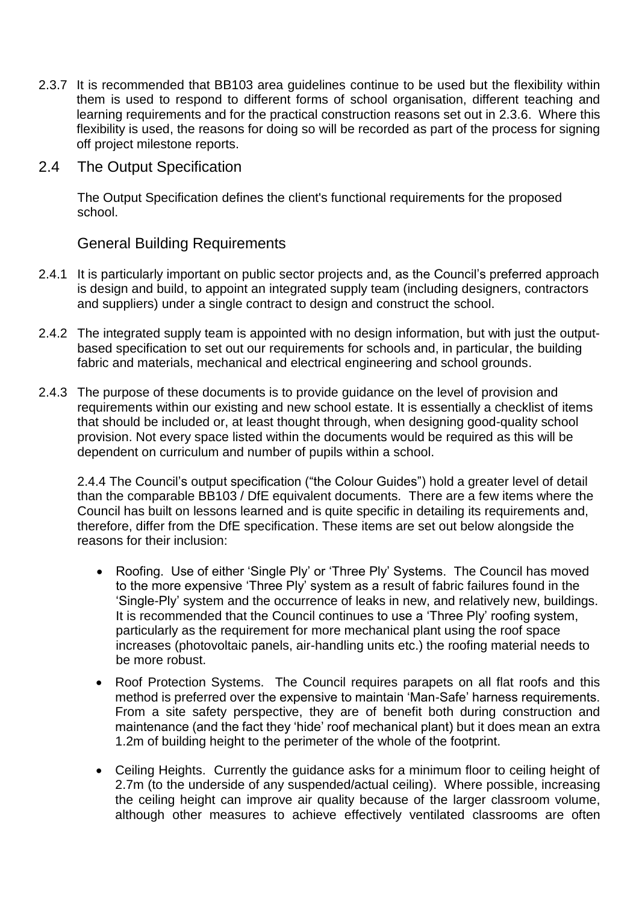- 2.3.7 It is recommended that BB103 area guidelines continue to be used but the flexibility within them is used to respond to different forms of school organisation, different teaching and learning requirements and for the practical construction reasons set out in 2.3.6. Where this flexibility is used, the reasons for doing so will be recorded as part of the process for signing off project milestone reports.
- 2.4 The Output Specification

The Output Specification defines the [client's](https://www.designingbuildings.co.uk/wiki/Client%27s) functional requirements for the proposed school.

## General Building Requirements

- 2.4.1 It is particularly important on [public sector projects](https://www.designingbuildings.co.uk/wiki/Public_project) and, as the Council's preferred approach is [design and build,](https://www.designingbuildings.co.uk/wiki/Design_and_build) to appoint an [integrated supply team \(including designers, contractors](https://www.designingbuildings.co.uk/wiki/Integrated_supply_team)  and suppliers) [under a single contract to design and construct the school.](https://www.designingbuildings.co.uk/wiki/Integrated_supply_team)
- 2.4.2 The [integrated supply team](https://www.designingbuildings.co.uk/wiki/Integrated_supply_team) is [appointed](https://www.designingbuildings.co.uk/wiki/Appointed) with no [design information,](https://www.designingbuildings.co.uk/wiki/Design_information) but with just the outputbased specification to set out our [requirements](https://www.designingbuildings.co.uk/wiki/Client%27s_requirements) for schools and, in particular, the building fabric and materials, mechanical and electrical engineering and school grounds.
- 2.4.3 The purpose of these documents is to provide guidance on the level of provision and requirements within our existing and new school estate. It is essentially a checklist of items that should be included or, at least thought through, when designing good-quality school provision. Not every space listed within the documents would be required as this will be dependent on curriculum and number of pupils within a school.

2.4.4 The Council's output specification ("the Colour Guides") hold a greater level of detail than the comparable BB103 / DfE equivalent documents. There are a few items where the Council has built on lessons learned and is quite specific in detailing its requirements and, therefore, differ from the DfE specification. These items are set out below alongside the reasons for their inclusion:

- Roofing. Use of either 'Single Ply' or 'Three Ply' Systems. The Council has moved to the more expensive 'Three Ply' system as a result of fabric failures found in the 'Single-Ply' system and the occurrence of leaks in new, and relatively new, buildings. It is recommended that the Council continues to use a 'Three Ply' roofing system, particularly as the requirement for more mechanical plant using the roof space increases (photovoltaic panels, air-handling units etc.) the roofing material needs to be more robust.
- Roof Protection Systems. The Council requires parapets on all flat roofs and this method is preferred over the expensive to maintain 'Man-Safe' harness requirements. From a site safety perspective, they are of benefit both during construction and maintenance (and the fact they 'hide' roof mechanical plant) but it does mean an extra 1.2m of building height to the perimeter of the whole of the footprint.
- Ceiling Heights. Currently the guidance asks for a minimum floor to ceiling height of 2.7m (to the underside of any suspended/actual ceiling). Where possible, increasing the ceiling height can improve air quality because of the larger classroom volume, although other measures to achieve effectively ventilated classrooms are often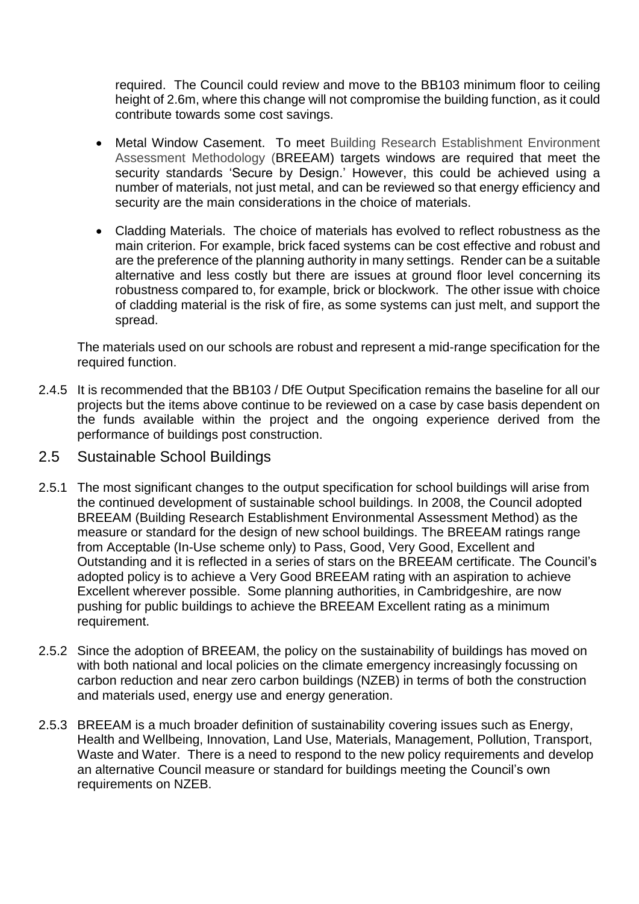required. The Council could review and move to the BB103 minimum floor to ceiling height of 2.6m, where this change will not compromise the building function, as it could contribute towards some cost savings.

- Metal Window Casement. To meet Building Research Establishment Environment Assessment Methodology (BREEAM) targets windows are required that meet the security standards 'Secure by Design.' However, this could be achieved using a number of materials, not just metal, and can be reviewed so that energy efficiency and security are the main considerations in the choice of materials.
- Cladding Materials. The choice of materials has evolved to reflect robustness as the main criterion. For example, brick faced systems can be cost effective and robust and are the preference of the planning authority in many settings. Render can be a suitable alternative and less costly but there are issues at ground floor level concerning its robustness compared to, for example, brick or blockwork. The other issue with choice of cladding material is the risk of fire, as some systems can just melt, and support the spread.

The materials used on our schools are robust and represent a mid-range specification for the required function.

- 2.4.5 It is recommended that the BB103 / DfE Output Specification remains the baseline for all our projects but the items above continue to be reviewed on a case by case basis dependent on the funds available within the project and the ongoing experience derived from the performance of buildings post construction.
- 2.5 Sustainable School Buildings
- 2.5.1 The most significant changes to the output specification for school buildings will arise from the continued development of sustainable school buildings. In 2008, the Council adopted BREEAM (Building Research Establishment Environmental Assessment Method) as the measure or standard for the design of new school buildings. The BREEAM ratings range from Acceptable (In-Use scheme only) to Pass, Good, Very Good, Excellent and Outstanding and it is reflected in a series of stars on the BREEAM certificate. The Council's adopted policy is to achieve a Very Good BREEAM rating with an aspiration to achieve Excellent wherever possible. Some planning authorities, in Cambridgeshire, are now pushing for public buildings to achieve the BREEAM Excellent rating as a minimum requirement.
- 2.5.2 Since the adoption of BREEAM, the policy on the sustainability of buildings has moved on with both national and local policies on the climate emergency increasingly focussing on carbon reduction and near zero carbon buildings (NZEB) in terms of both the construction and materials used, energy use and energy generation.
- 2.5.3 BREEAM is a much broader definition of sustainability covering issues such as Energy, Health and Wellbeing, Innovation, Land Use, Materials, Management, Pollution, Transport, Waste and Water. There is a need to respond to the new policy requirements and develop an alternative Council measure or standard for buildings meeting the Council's own requirements on NZEB.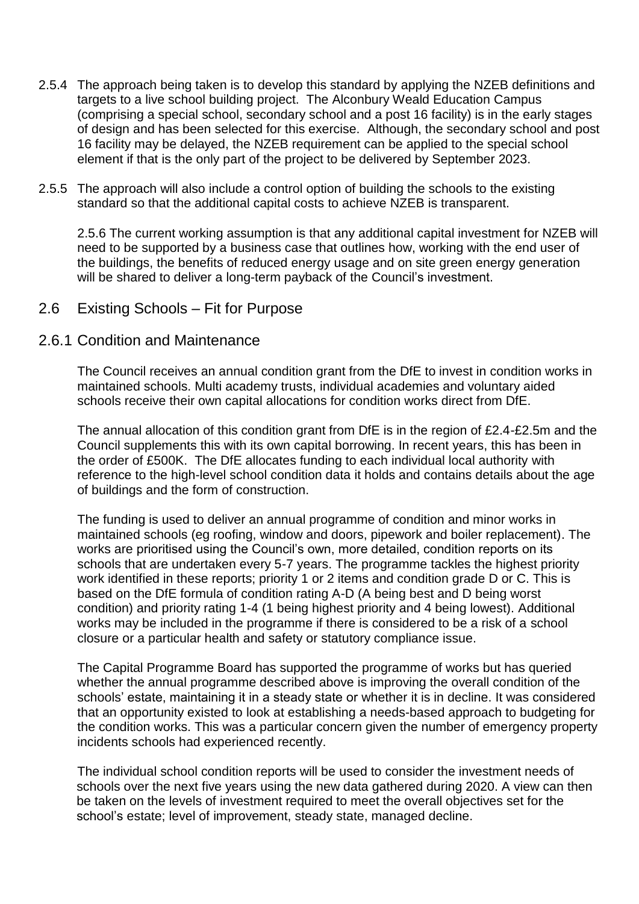- 2.5.4 The approach being taken is to develop this standard by applying the NZEB definitions and targets to a live school building project. The Alconbury Weald Education Campus (comprising a special school, secondary school and a post 16 facility) is in the early stages of design and has been selected for this exercise. Although, the secondary school and post 16 facility may be delayed, the NZEB requirement can be applied to the special school element if that is the only part of the project to be delivered by September 2023.
- 2.5.5 The approach will also include a control option of building the schools to the existing standard so that the additional capital costs to achieve NZEB is transparent.

2.5.6 The current working assumption is that any additional capital investment for NZEB will need to be supported by a business case that outlines how, working with the end user of the buildings, the benefits of reduced energy usage and on site green energy generation will be shared to deliver a long-term payback of the Council's investment.

#### 2.6 Existing Schools – Fit for Purpose

#### 2.6.1 Condition and Maintenance

The Council receives an annual condition grant from the DfE to invest in condition works in maintained schools. Multi academy trusts, individual academies and voluntary aided schools receive their own capital allocations for condition works direct from DfE.

The annual allocation of this condition grant from DfE is in the region of £2.4-£2.5m and the Council supplements this with its own capital borrowing. In recent years, this has been in the order of £500K. The DfE allocates funding to each individual local authority with reference to the high-level school condition data it holds and contains details about the age of buildings and the form of construction.

The funding is used to deliver an annual programme of condition and minor works in maintained schools (eg roofing, window and doors, pipework and boiler replacement). The works are prioritised using the Council's own, more detailed, condition reports on its schools that are undertaken every 5-7 years. The programme tackles the highest priority work identified in these reports; priority 1 or 2 items and condition grade D or C. This is based on the DfE formula of condition rating A-D (A being best and D being worst condition) and priority rating 1-4 (1 being highest priority and 4 being lowest). Additional works may be included in the programme if there is considered to be a risk of a school closure or a particular health and safety or statutory compliance issue.

The Capital Programme Board has supported the programme of works but has queried whether the annual programme described above is improving the overall condition of the schools' estate, maintaining it in a steady state or whether it is in decline. It was considered that an opportunity existed to look at establishing a needs-based approach to budgeting for the condition works. This was a particular concern given the number of emergency property incidents schools had experienced recently.

The individual school condition reports will be used to consider the investment needs of schools over the next five years using the new data gathered during 2020. A view can then be taken on the levels of investment required to meet the overall objectives set for the school's estate; level of improvement, steady state, managed decline.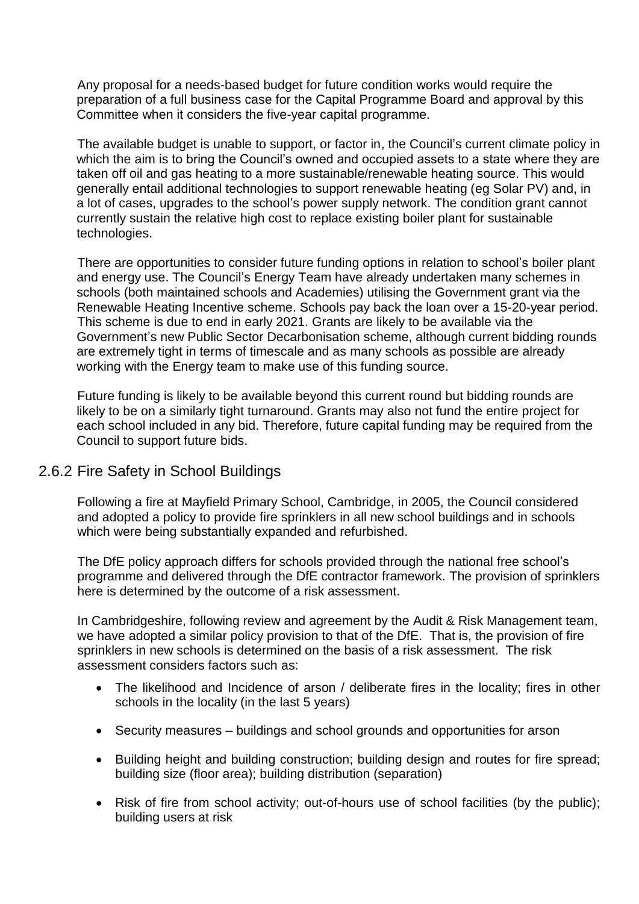Any proposal for a needs-based budget for future condition works would require the preparation of a full business case for the Capital Programme Board and approval by this Committee when it considers the five-year capital programme.

The available budget is unable to support, or factor in, the Council's current climate policy in which the aim is to bring the Council's owned and occupied assets to a state where they are taken off oil and gas heating to a more sustainable/renewable heating source. This would generally entail additional technologies to support renewable heating (eg Solar PV) and, in a lot of cases, upgrades to the school's power supply network. The condition grant cannot currently sustain the relative high cost to replace existing boiler plant for sustainable technologies.

There are opportunities to consider future funding options in relation to school's boiler plant and energy use. The Council's Energy Team have already undertaken many schemes in schools (both maintained schools and Academies) utilising the Government grant via the Renewable Heating Incentive scheme. Schools pay back the loan over a 15-20-year period. This scheme is due to end in early 2021. Grants are likely to be available via the Government's new Public Sector Decarbonisation scheme, although current bidding rounds are extremely tight in terms of timescale and as many schools as possible are already working with the Energy team to make use of this funding source.

Future funding is likely to be available beyond this current round but bidding rounds are likely to be on a similarly tight turnaround. Grants may also not fund the entire project for each school included in any bid. Therefore, future capital funding may be required from the Council to support future bids.

#### 2.6.2 Fire Safety in School Buildings

Following a fire at Mayfield Primary School, Cambridge, in 2005, the Council considered and adopted a policy to provide fire sprinklers in all new school buildings and in schools which were being substantially expanded and refurbished.

The DfE policy approach differs for schools provided through the national free school's programme and delivered through the DfE contractor framework. The provision of sprinklers here is determined by the outcome of a risk assessment.

In Cambridgeshire, following review and agreement by the Audit & Risk Management team, we have adopted a similar policy provision to that of the DfE. That is, the provision of fire sprinklers in new schools is determined on the basis of a risk assessment. The risk assessment considers factors such as:

- The likelihood and Incidence of arson / deliberate fires in the locality: fires in other schools in the locality (in the last 5 years)
- Security measures buildings and school grounds and opportunities for arson
- Building height and building construction; building design and routes for fire spread; building size (floor area); building distribution (separation)
- Risk of fire from school activity; out-of-hours use of school facilities (by the public); building users at risk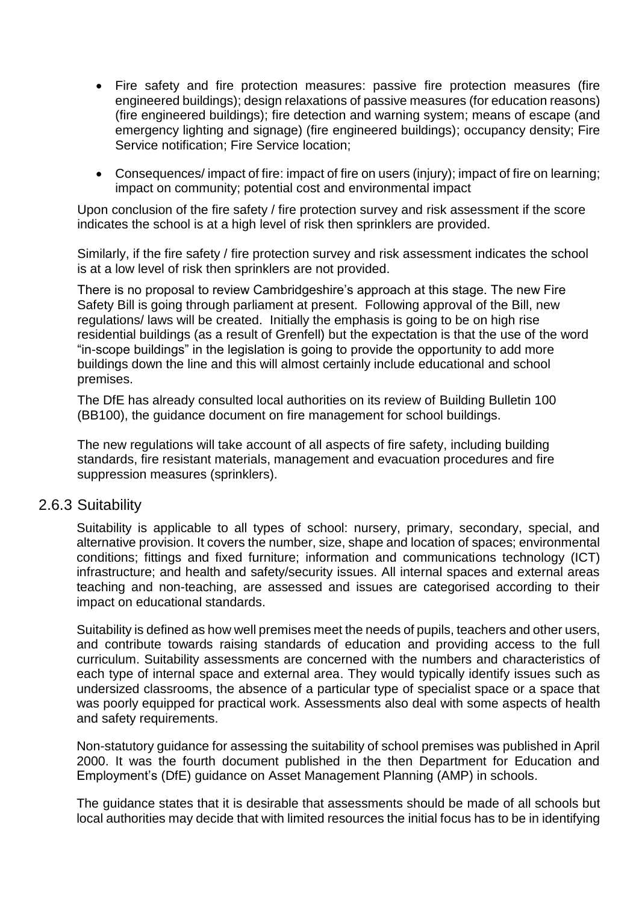- Fire safety and fire protection measures: passive fire protection measures (fire engineered buildings); design relaxations of passive measures (for education reasons) (fire engineered buildings); fire detection and warning system; means of escape (and emergency lighting and signage) (fire engineered buildings); occupancy density; Fire Service notification; Fire Service location;
- Consequences/ impact of fire: impact of fire on users (injury); impact of fire on learning; impact on community; potential cost and environmental impact

Upon conclusion of the fire safety / fire protection survey and risk assessment if the score indicates the school is at a high level of risk then sprinklers are provided.

Similarly, if the fire safety / fire protection survey and risk assessment indicates the school is at a low level of risk then sprinklers are not provided.

There is no proposal to review Cambridgeshire's approach at this stage. The new Fire Safety Bill is going through parliament at present. Following approval of the Bill, new regulations/ laws will be created. Initially the emphasis is going to be on high rise residential buildings (as a result of Grenfell) but the expectation is that the use of the word "in-scope buildings" in the legislation is going to provide the opportunity to add more buildings down the line and this will almost certainly include educational and school premises.

The DfE has already consulted local authorities on its review of Building Bulletin 100 (BB100), the guidance document on fire management for school buildings.

The new regulations will take account of all aspects of fire safety, including building standards, fire resistant materials, management and evacuation procedures and fire suppression measures (sprinklers).

#### 2.6.3 Suitability

Suitability is applicable to all types of school: nursery, primary, secondary, special, and alternative provision. It covers the number, size, shape and location of spaces; environmental conditions; fittings and fixed furniture; information and communications technology (ICT) infrastructure; and health and safety/security issues. All internal spaces and external areas teaching and non-teaching, are assessed and issues are categorised according to their impact on educational standards.

Suitability is defined as how well premises meet the needs of pupils, teachers and other users, and contribute towards raising standards of education and providing access to the full curriculum. Suitability assessments are concerned with the numbers and characteristics of each type of internal space and external area. They would typically identify issues such as undersized classrooms, the absence of a particular type of specialist space or a space that was poorly equipped for practical work. Assessments also deal with some aspects of health and safety requirements.

Non-statutory guidance for assessing the suitability of school premises was published in April 2000. It was the fourth document published in the then Department for Education and Employment's (DfE) guidance on Asset Management Planning (AMP) in schools.

The guidance states that it is desirable that assessments should be made of all schools but local authorities may decide that with limited resources the initial focus has to be in identifying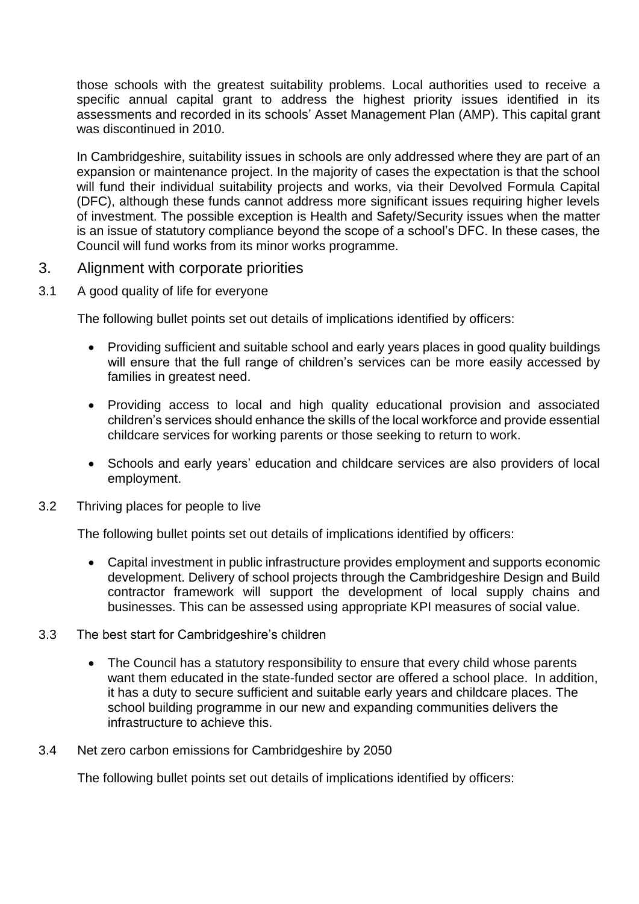those schools with the greatest suitability problems. Local authorities used to receive a specific annual capital grant to address the highest priority issues identified in its assessments and recorded in its schools' Asset Management Plan (AMP). This capital grant was discontinued in 2010.

In Cambridgeshire, suitability issues in schools are only addressed where they are part of an expansion or maintenance project. In the majority of cases the expectation is that the school will fund their individual suitability projects and works, via their Devolved Formula Capital (DFC), although these funds cannot address more significant issues requiring higher levels of investment. The possible exception is Health and Safety/Security issues when the matter is an issue of statutory compliance beyond the scope of a school's DFC. In these cases, the Council will fund works from its minor works programme.

#### 3. Alignment with corporate priorities

3.1 A good quality of life for everyone

The following bullet points set out details of implications identified by officers:

- Providing sufficient and suitable school and early years places in good quality buildings will ensure that the full range of children's services can be more easily accessed by families in greatest need.
- Providing access to local and high quality educational provision and associated children's services should enhance the skills of the local workforce and provide essential childcare services for working parents or those seeking to return to work.
- Schools and early years' education and childcare services are also providers of local employment.
- 3.2 Thriving places for people to live

The following bullet points set out details of implications identified by officers:

- Capital investment in public infrastructure provides employment and supports economic development. Delivery of school projects through the Cambridgeshire Design and Build contractor framework will support the development of local supply chains and businesses. This can be assessed using appropriate KPI measures of social value.
- 3.3 The best start for Cambridgeshire's children
	- The Council has a statutory responsibility to ensure that every child whose parents want them educated in the state-funded sector are offered a school place. In addition, it has a duty to secure sufficient and suitable early years and childcare places. The school building programme in our new and expanding communities delivers the infrastructure to achieve this.
- 3.4 Net zero carbon emissions for Cambridgeshire by 2050

The following bullet points set out details of implications identified by officers: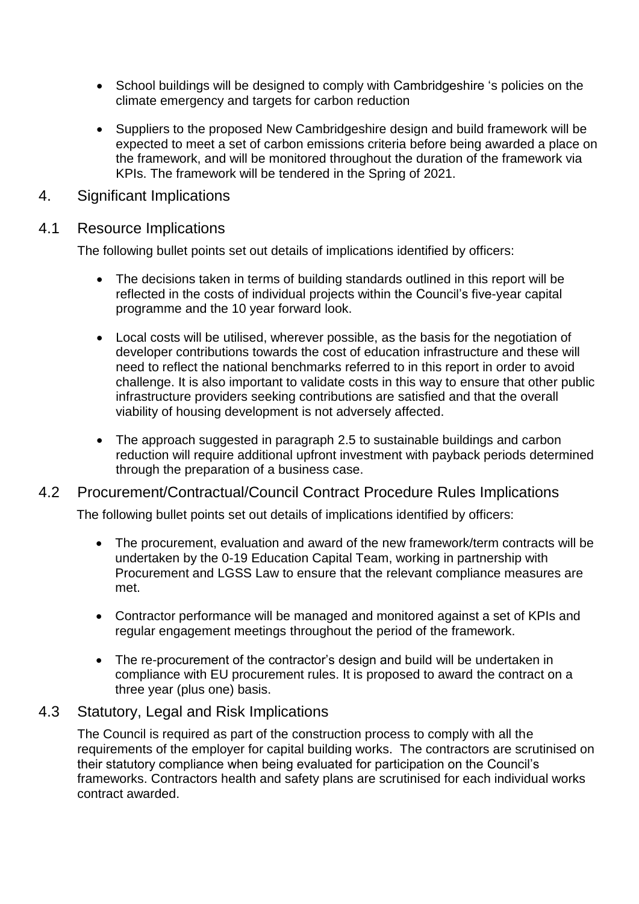- School buildings will be designed to comply with Cambridgeshire 's policies on the climate emergency and targets for carbon reduction
- Suppliers to the proposed New Cambridgeshire design and build framework will be expected to meet a set of carbon emissions criteria before being awarded a place on the framework, and will be monitored throughout the duration of the framework via KPIs. The framework will be tendered in the Spring of 2021.
- 4. Significant Implications

### 4.1 Resource Implications

The following bullet points set out details of implications identified by officers:

- The decisions taken in terms of building standards outlined in this report will be reflected in the costs of individual projects within the Council's five-year capital programme and the 10 year forward look.
- Local costs will be utilised, wherever possible, as the basis for the negotiation of developer contributions towards the cost of education infrastructure and these will need to reflect the national benchmarks referred to in this report in order to avoid challenge. It is also important to validate costs in this way to ensure that other public infrastructure providers seeking contributions are satisfied and that the overall viability of housing development is not adversely affected.
- The approach suggested in paragraph 2.5 to sustainable buildings and carbon reduction will require additional upfront investment with payback periods determined through the preparation of a business case.

## 4.2 Procurement/Contractual/Council Contract Procedure Rules Implications

The following bullet points set out details of implications identified by officers:

- The procurement, evaluation and award of the new framework/term contracts will be undertaken by the 0-19 Education Capital Team, working in partnership with Procurement and LGSS Law to ensure that the relevant compliance measures are met.
- Contractor performance will be managed and monitored against a set of KPIs and regular engagement meetings throughout the period of the framework.
- The re-procurement of the contractor's design and build will be undertaken in compliance with EU procurement rules. It is proposed to award the contract on a three year (plus one) basis.

## 4.3 Statutory, Legal and Risk Implications

The Council is required as part of the construction process to comply with all the requirements of the employer for capital building works. The contractors are scrutinised on their statutory compliance when being evaluated for participation on the Council's frameworks. Contractors health and safety plans are scrutinised for each individual works contract awarded.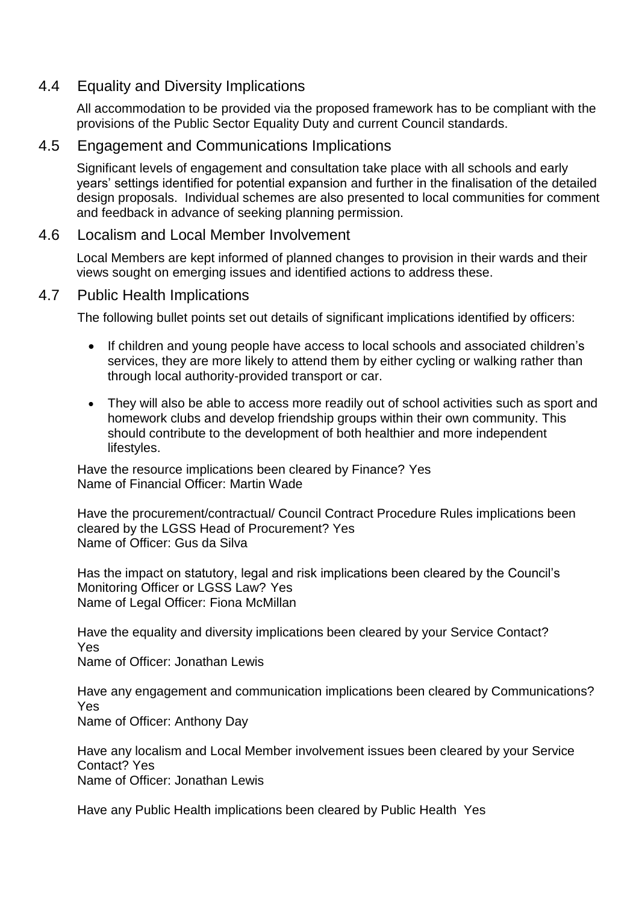## 4.4 Equality and Diversity Implications

All accommodation to be provided via the proposed framework has to be compliant with the provisions of the Public Sector Equality Duty and current Council standards.

### 4.5 Engagement and Communications Implications

Significant levels of engagement and consultation take place with all schools and early years' settings identified for potential expansion and further in the finalisation of the detailed design proposals. Individual schemes are also presented to local communities for comment and feedback in advance of seeking planning permission.

#### 4.6 Localism and Local Member Involvement

Local Members are kept informed of planned changes to provision in their wards and their views sought on emerging issues and identified actions to address these.

### 4.7 Public Health Implications

The following bullet points set out details of significant implications identified by officers:

- If children and young people have access to local schools and associated children's services, they are more likely to attend them by either cycling or walking rather than through local authority-provided transport or car.
- They will also be able to access more readily out of school activities such as sport and homework clubs and develop friendship groups within their own community. This should contribute to the development of both healthier and more independent lifestyles.

Have the resource implications been cleared by Finance? Yes Name of Financial Officer: Martin Wade

Have the procurement/contractual/ Council Contract Procedure Rules implications been cleared by the LGSS Head of Procurement? Yes Name of Officer: Gus da Silva

Has the impact on statutory, legal and risk implications been cleared by the Council's Monitoring Officer or LGSS Law? Yes Name of Legal Officer: Fiona McMillan

Have the equality and diversity implications been cleared by your Service Contact? Yes Name of Officer: Jonathan Lewis

Have any engagement and communication implications been cleared by Communications? Yes Name of Officer: Anthony Day

Have any localism and Local Member involvement issues been cleared by your Service Contact? Yes Name of Officer: Jonathan Lewis

Have any Public Health implications been cleared by Public Health Yes